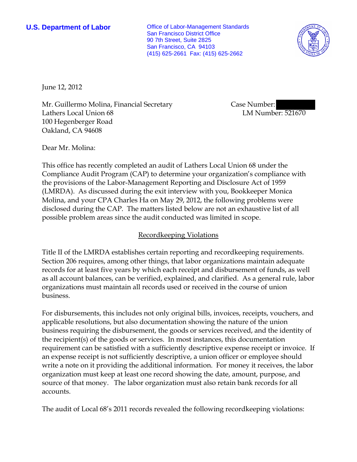**U.S. Department of Labor Conservative Conservative Conservative Conservative Conservative Conservative Conservative Conservative Conservative Conservative Conservative Conservative Conservative Conservative Conservative** San Francisco District Office 90 7th Street, Suite 2825 San Francisco, CA 94103 (415) 625-2661 Fax: (415) 625-2662



June 12, 2012

Mr. Guillermo Molina, Financial Secretary Lathers Local Union 68 100 Hegenberger Road Oakland, CA 94608

Case Number: LM Number: 521670

Dear Mr. Molina:

This office has recently completed an audit of Lathers Local Union 68 under the Compliance Audit Program (CAP) to determine your organization's compliance with the provisions of the Labor-Management Reporting and Disclosure Act of 1959 (LMRDA). As discussed during the exit interview with you, Bookkeeper Monica Molina, and your CPA Charles Ha on May 29, 2012, the following problems were disclosed during the CAP. The matters listed below are not an exhaustive list of all possible problem areas since the audit conducted was limited in scope.

## Recordkeeping Violations

Title II of the LMRDA establishes certain reporting and recordkeeping requirements. Section 206 requires, among other things, that labor organizations maintain adequate records for at least five years by which each receipt and disbursement of funds, as well as all account balances, can be verified, explained, and clarified. As a general rule, labor organizations must maintain all records used or received in the course of union business.

For disbursements, this includes not only original bills, invoices, receipts, vouchers, and applicable resolutions, but also documentation showing the nature of the union business requiring the disbursement, the goods or services received, and the identity of the recipient(s) of the goods or services. In most instances, this documentation requirement can be satisfied with a sufficiently descriptive expense receipt or invoice. If an expense receipt is not sufficiently descriptive, a union officer or employee should write a note on it providing the additional information. For money it receives, the labor organization must keep at least one record showing the date, amount, purpose, and source of that money. The labor organization must also retain bank records for all accounts.

The audit of Local 68's 2011 records revealed the following recordkeeping violations: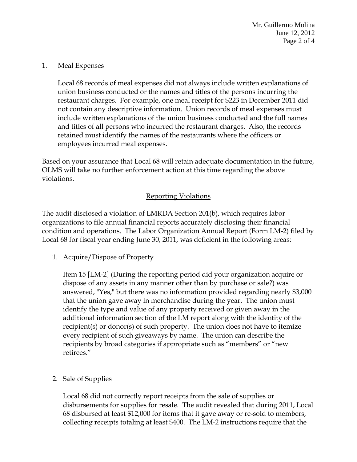Mr. Guillermo Molina June 12, 2012 Page 2 of 4

## 1. Meal Expenses

Local 68 records of meal expenses did not always include written explanations of union business conducted or the names and titles of the persons incurring the restaurant charges. For example, one meal receipt for \$223 in December 2011 did not contain any descriptive information. Union records of meal expenses must include written explanations of the union business conducted and the full names and titles of all persons who incurred the restaurant charges. Also, the records retained must identify the names of the restaurants where the officers or employees incurred meal expenses.

Based on your assurance that Local 68 will retain adequate documentation in the future, OLMS will take no further enforcement action at this time regarding the above violations.

## Reporting Violations

The audit disclosed a violation of LMRDA Section 201(b), which requires labor organizations to file annual financial reports accurately disclosing their financial condition and operations. The Labor Organization Annual Report (Form LM-2) filed by Local 68 for fiscal year ending June 30, 2011, was deficient in the following areas:

1. Acquire/Dispose of Property

Item 15 [LM-2] (During the reporting period did your organization acquire or dispose of any assets in any manner other than by purchase or sale?) was answered, "Yes," but there was no information provided regarding nearly \$3,000 that the union gave away in merchandise during the year. The union must identify the type and value of any property received or given away in the additional information section of the LM report along with the identity of the recipient(s) or donor(s) of such property. The union does not have to itemize every recipient of such giveaways by name. The union can describe the recipients by broad categories if appropriate such as "members" or "new retirees."

2. Sale of Supplies

Local 68 did not correctly report receipts from the sale of supplies or disbursements for supplies for resale. The audit revealed that during 2011, Local 68 disbursed at least \$12,000 for items that it gave away or re-sold to members, collecting receipts totaling at least \$400. The LM-2 instructions require that the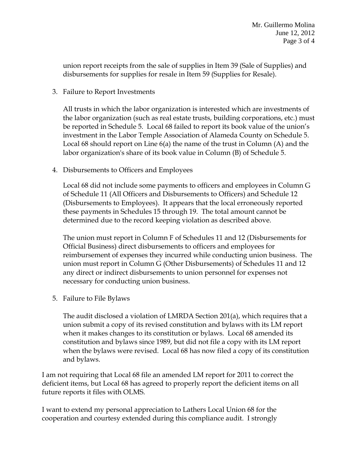union report receipts from the sale of supplies in Item 39 (Sale of Supplies) and disbursements for supplies for resale in Item 59 (Supplies for Resale).

3. Failure to Report Investments

All trusts in which the labor organization is interested which are investments of the labor organization (such as real estate trusts, building corporations, etc.) must be reported in Schedule 5. Local 68 failed to report its book value of the union's investment in the Labor Temple Association of Alameda County on Schedule 5. Local 68 should report on Line 6(a) the name of the trust in Column (A) and the labor organization's share of its book value in Column (B) of Schedule 5.

4. Disbursements to Officers and Employees

Local 68 did not include some payments to officers and employees in Column G of Schedule 11 (All Officers and Disbursements to Officers) and Schedule 12 (Disbursements to Employees). It appears that the local erroneously reported these payments in Schedules 15 through 19. The total amount cannot be determined due to the record keeping violation as described above.

The union must report in Column F of Schedules 11 and 12 (Disbursements for Official Business) direct disbursements to officers and employees for reimbursement of expenses they incurred while conducting union business. The union must report in Column G (Other Disbursements) of Schedules 11 and 12 any direct or indirect disbursements to union personnel for expenses not necessary for conducting union business.

5. Failure to File Bylaws

The audit disclosed a violation of LMRDA Section 201(a), which requires that a union submit a copy of its revised constitution and bylaws with its LM report when it makes changes to its constitution or bylaws. Local 68 amended its constitution and bylaws since 1989, but did not file a copy with its LM report when the bylaws were revised. Local 68 has now filed a copy of its constitution and bylaws.

I am not requiring that Local 68 file an amended LM report for 2011 to correct the deficient items, but Local 68 has agreed to properly report the deficient items on all future reports it files with OLMS.

I want to extend my personal appreciation to Lathers Local Union 68 for the cooperation and courtesy extended during this compliance audit. I strongly